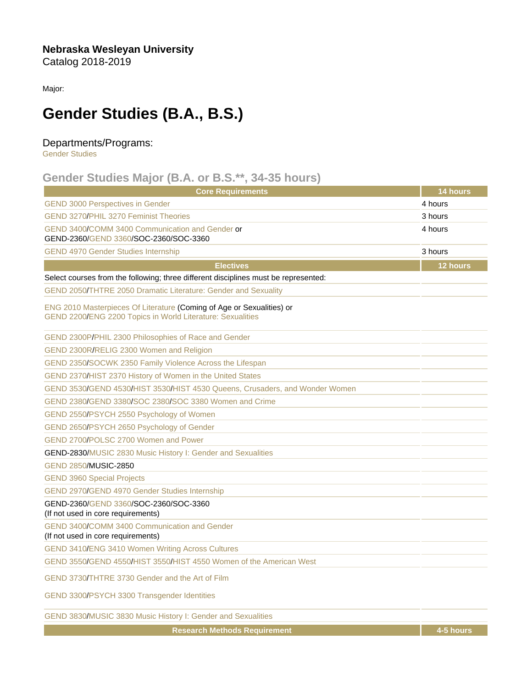Nebraska Wesleyan University Catalog 2018-2019

Major:

## Gender Studies (B.A., B.S.)

## Departments/Programs:

[Gender Studies](https://catalog.nebrwesleyan.edu/cc/2018-2019/department/330854)

## Gender Studies Major (B.A. or B.S.\*\*, 34-35 hours)

| <b>Core Requirements</b>                                                                                                            | 14 hours |
|-------------------------------------------------------------------------------------------------------------------------------------|----------|
| <b>GEND 3000 Perspectives in Gender</b>                                                                                             | 4 hours  |
| <b>GEND 3270/PHIL 3270 Feminist Theories</b>                                                                                        | 3 hours  |
| GEND 3400/COMM 3400 Communication and Gender or<br>GEND-2360/GEND 3360/SOC-2360/SOC-3360                                            | 4 hours  |
| <b>GEND 4970 Gender Studies Internship</b>                                                                                          | 3 hours  |
| <b>Electives</b>                                                                                                                    | 12 hours |
| Select courses from the following; three different disciplines must be represented:                                                 |          |
| GEND 2050/THTRE 2050 Dramatic Literature: Gender and Sexuality                                                                      |          |
| ENG 2010 Masterpieces Of Literature (Coming of Age or Sexualities) or<br>GEND 2200/ENG 2200 Topics in World Literature: Sexualities |          |
| GEND 2300P/PHIL 2300 Philosophies of Race and Gender                                                                                |          |
| GEND 2300R/RELIG 2300 Women and Religion                                                                                            |          |
| GEND 2350/SOCWK 2350 Family Violence Across the Lifespan                                                                            |          |
| GEND 2370/HIST 2370 History of Women in the United States                                                                           |          |
| GEND 3530/GEND 4530/HIST 3530/HIST 4530 Queens, Crusaders, and Wonder Women                                                         |          |
| GEND 2380/GEND 3380/SOC 2380/SOC 3380 Women and Crime                                                                               |          |
| GEND 2550/PSYCH 2550 Psychology of Women                                                                                            |          |
| GEND 2650/PSYCH 2650 Psychology of Gender                                                                                           |          |
| GEND 2700/POLSC 2700 Women and Power                                                                                                |          |
| GEND-2830/MUSIC 2830 Music History I: Gender and Sexualities                                                                        |          |
| GEND 2850/MUSIC-2850                                                                                                                |          |
| <b>GEND 3960 Special Projects</b>                                                                                                   |          |
| GEND 2970/GEND 4970 Gender Studies Internship                                                                                       |          |
| GEND-2360/GEND 3360/SOC-2360/SOC-3360<br>(If not used in core requirements)                                                         |          |
| GEND 3400/COMM 3400 Communication and Gender<br>(If not used in core requirements)                                                  |          |
| GEND 3410/ENG 3410 Women Writing Across Cultures                                                                                    |          |
| GEND 3550/GEND 4550/HIST 3550/HIST 4550 Women of the American West                                                                  |          |
| GEND 3730/THTRE 3730 Gender and the Art of Film                                                                                     |          |
| GEND 3300/PSYCH 3300 Transgender Identities                                                                                         |          |

[GEND 3830](https://catalog.nebrwesleyan.edu/cc/2021-2022/course/360915)[/MUSIC 3830 Music History I: Gender and Sexualities](https://catalog.nebrwesleyan.edu/cc/2021-2022/course/360075)

Research Methods Requirement 4-5 hours and 4-5 hours